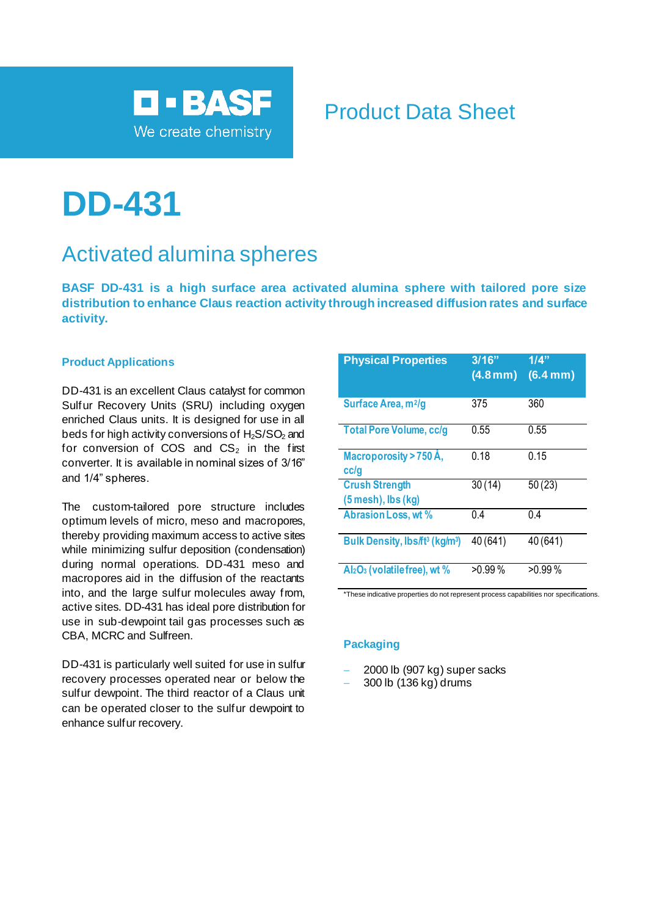

# Product Data Sheet

# **DD-431**

# Activated alumina spheres

**BASF DD-431 is a high surface area activated alumina sphere with tailored pore size distribution to enhance Claus reaction activity through increased diffusion rates and surface activity.**

### **Product Applications**

DD-431 is an excellent Claus catalyst for common Sulfur Recovery Units (SRU) including oxygen enriched Claus units. It is designed for use in all beds for high activity conversions of  $H_2S/SO_2$  and for conversion of COS and  $CS<sub>2</sub>$  in the first converter. It is available in nominal sizes of 3/16" and 1/4" spheres.

The custom-tailored pore structure includes optimum levels of micro, meso and macropores, thereby providing maximum access to active sites while minimizing sulfur deposition (condensation) during normal operations. DD-431 meso and macropores aid in the diffusion of the reactants into, and the large sulfur molecules away from, active sites. DD-431 has ideal pore distribution for use in sub-dewpoint tail gas processes such as CBA, MCRC and Sulfreen.

DD-431 is particularly well suited for use in sulfur recovery processes operated near or below the sulfur dewpoint. The third reactor of a Claus unit can be operated closer to the sulfur dewpoint to enhance sulfur recovery.

| <b>Physical Properties</b>                             | 3/16"<br>$(4.8 \,\mathrm{mm})$ | 1/4"<br>(6.4 mm) |
|--------------------------------------------------------|--------------------------------|------------------|
| Surface Area, m <sup>2</sup> /g                        | 375                            | 360              |
| <b>Total Pore Volume, cc/g</b>                         | 0.55                           | 0.55             |
| Macroporosity > 750 Å,<br>cc/g                         | 0.18                           | 0.15             |
| <b>Crush Strength</b><br>$(5$ mesh), lbs $(kg)$        | 30(14)                         | 50(23)           |
| Abrasion Loss, wt %                                    | 0.4                            | 0.4              |
| Bulk Density, Ibs/ft <sup>3</sup> (kg/m <sup>3</sup> ) | 40 (641)                       | 40 (641)         |
| Al <sub>2</sub> O <sub>3</sub> (volatile free), wt %   | $>0.99\%$                      | $>0.99\%$        |

\*These indicative properties do not represent process capabilities nor specifications.

#### **Packaging**

- − 2000 lb (907 kg) super sacks
- − 300 lb (136 kg) drums